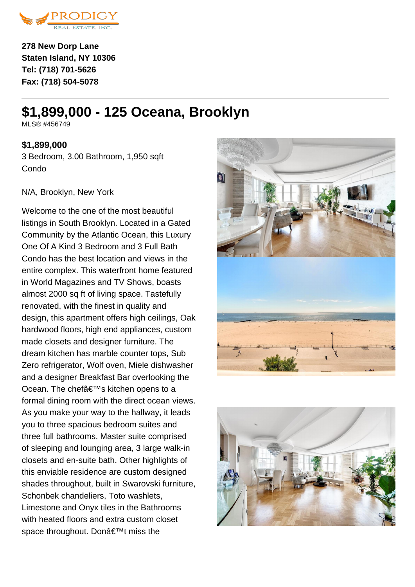

**278 New Dorp Lane Staten Island, NY 10306 Tel: (718) 701-5626 Fax: (718) 504-5078**

# **\$1,899,000 - 125 Oceana, Brooklyn**

MI S® #456749

# **\$1,899,000**

3 Bedroom, 3.00 Bathroom, 1,950 sqft Condo

#### N/A, Brooklyn, New York

Welcome to the one of the most beautiful listings in South Brooklyn. Located in a Gated Community by the Atlantic Ocean, this Luxury One Of A Kind 3 Bedroom and 3 Full Bath Condo has the best location and views in the entire complex. This waterfront home featured in World Magazines and TV Shows, boasts almost 2000 sq ft of living space. Tastefully renovated, with the finest in quality and design, this apartment offers high ceilings, Oak hardwood floors, high end appliances, custom made closets and designer furniture. The dream kitchen has marble counter tops, Sub Zero refrigerator, Wolf oven, Miele dishwasher and a designer Breakfast Bar overlooking the Ocean. The chef's kitchen opens to a formal dining room with the direct ocean views. As you make your way to the hallway, it leads you to three spacious bedroom suites and three full bathrooms. Master suite comprised of sleeping and lounging area, 3 large walk-in closets and en-suite bath. Other highlights of this enviable residence are custom designed shades throughout, built in Swarovski furniture, Schonbek chandeliers, Toto washlets, Limestone and Onyx tiles in the Bathrooms with heated floors and extra custom closet space throughout. Don't miss the



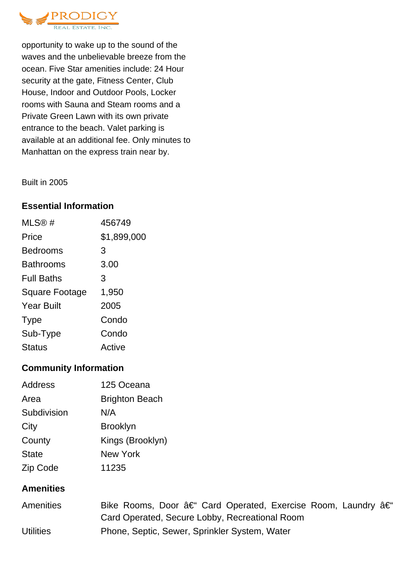

opportunity to wake up to the sound of the waves and the unbelievable breeze from the ocean. Five Star amenities include: 24 Hour security at the gate, Fitness Center, Club House, Indoor and Outdoor Pools, Locker rooms with Sauna and Steam rooms and a Private Green Lawn with its own private entrance to the beach. Valet parking is available at an additional fee. Only minutes to Manhattan on the express train near by.

Built in 2005

### **Essential Information**

| MLS®#                 | 456749      |
|-----------------------|-------------|
| Price                 | \$1,899,000 |
| <b>Bedrooms</b>       | 3           |
| <b>Bathrooms</b>      | 3.00        |
| <b>Full Baths</b>     | 3           |
| <b>Square Footage</b> | 1,950       |
| <b>Year Built</b>     | 2005        |
| <b>Type</b>           | Condo       |
| Sub-Type              | Condo       |
| <b>Status</b>         | Active      |

## **Community Information**

| <b>Address</b> | 125 Oceana            |
|----------------|-----------------------|
| Area           | <b>Brighton Beach</b> |
| Subdivision    | N/A                   |
| City           | <b>Brooklyn</b>       |
| County         | Kings (Brooklyn)      |
| <b>State</b>   | <b>New York</b>       |
| Zip Code       | 11235                 |

### **Amenities**

| <b>Amenities</b> | Bike Rooms, Door – Card Operated, Exercise Room, Laundry – |
|------------------|------------------------------------------------------------|
|                  | Card Operated, Secure Lobby, Recreational Room             |
| <b>Utilities</b> | Phone, Septic, Sewer, Sprinkler System, Water              |